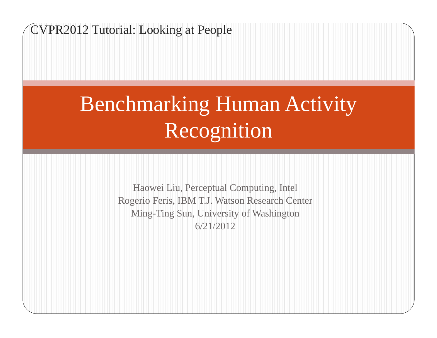CVPR2012 Tutorial: Looking at People

# Benchmarking Human Activity Recognition

Haowei Liu, Perceptual Computing, Intel Rogerio Feris, IBM T.J. Watson Research Center Ming-Ting Sun, University of Washington 6/21/2012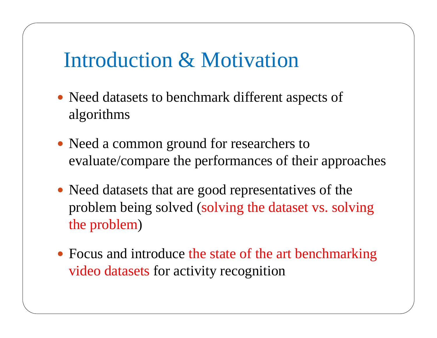# Introduction & Motivation

- Need datasets to benchmark different aspects of algorithms
- Need a common ground for researchers to evaluate/compare the performances of their approaches
- Need datasets that are good representatives of the problem being solved (solving the dataset vs. solving the problem )
- Focus and introduce the state of the art benchmarking video datasets for activity recognition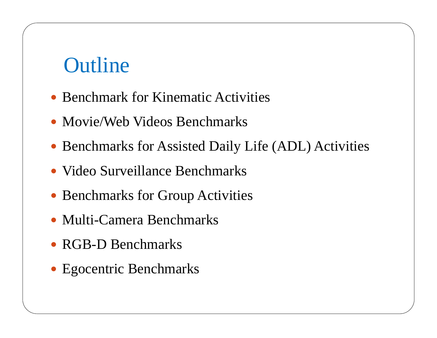# **Outline**

- Benchmark for Kinematic Activities
- Movie/Web Videos Benchmarks
- Benchmarks for Assisted Daily Life (ADL) Activities
- Video Surveillance Benchmarks
- Benchmarks for Group Activities
- Multi-Camera Benchmarks
- RGB-D Benchmarks
- Egocentric Benchmarks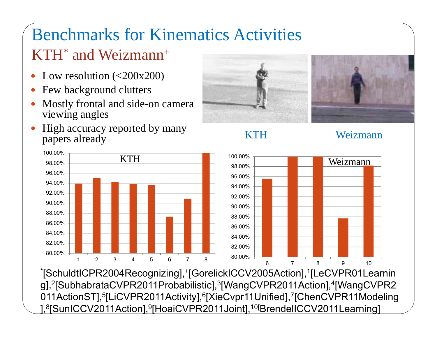## Benchmarks for Kinematics Activities KTH\* and Weizmann+

- $\bullet$ Low resolution  $\left( < 200 \times 200 \right)$
- 0 Few background clutters
- 0 Mostly frontal and side-on camera viewing angles







KTH Weizmann



\*[SchuldtICPR2004Recognizing],+[GorelickICCV2005Action],1[LeCVPR01Learnin g],<sup>2</sup>[SubhabrataCVPR2011Probabilistic],<sup>3</sup>[WangCVPR2011Action],<sup>4</sup>[WangCVPR2 011ActionST],<sup>5</sup>[LiCVPR2011Activity],<sup>6</sup>[XieCvpr11Unified],<sup>7</sup>[ChenCVPR11Modeling ],<sup>8</sup>[SunICCV2011Action],<sup>9</sup>[HoaiCVPR2011Joint],<sup>10[</sup>BrendelICCV2011Learning]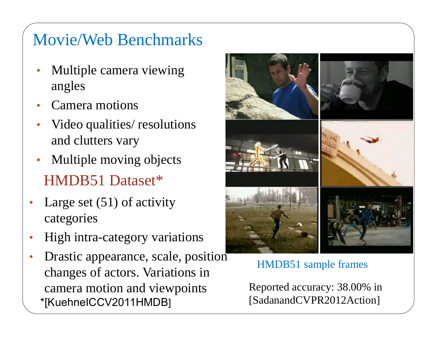#### Movie/Web Benchmarks

- • Multiple camera viewing angles
- •Camera motions
- • Video qualities/ resolutions and clutters vary
- HMDB51 Dataset\* $\bullet$ Multiple moving objects
- • Large set (51) of activity categories
- •High intra-category variations
- • Drastic appearance, scale, position changes of actors. Variations in camera motion and viewpoints \*[KuehneICCV2011HMDB]



HMDB51 sample frames

Reported accuracy: 38.00% in [SadanandCVPR2012Action]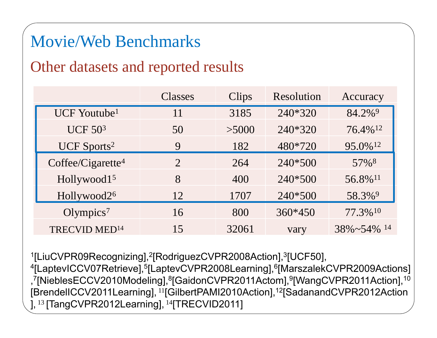#### Movie/Web Benchmarks

#### Other datasets and reported results

|                               | Classes                     | Clips | Resolution | Accuracy            |
|-------------------------------|-----------------------------|-------|------------|---------------------|
| UCF Youtube <sup>1</sup>      | 11                          | 3185  | 240*320    | 84.2% <sup>9</sup>  |
| <b>UCF 503</b>                | 50                          | >5000 | 240*320    | 76.4%12             |
| UCF Sports <sup>2</sup>       | 9                           | 182   | 480*720    | 95.0%12             |
| Coffee/Cigarette <sup>4</sup> | $\mathcal{D}_{\mathcal{L}}$ | 264   | 240*500    | 57% <sup>8</sup>    |
| Hollywood15                   | 8                           | 400   | 240*500    | 56.8%11             |
| Hollywood2 <sup>6</sup>       | 12                          | 1707  | 240*500    | 58.3%9              |
| Olympics <sup>7</sup>         | 16                          | 800   | $360*450$  | 77.3%10             |
| TRECVID MED <sup>14</sup>     | 15                          | 32061 | vary       | $38\% \sim 54\%$ 14 |

1[LiuCVPR09Recognizing], 2[RodriguezCVPR2008Action], 3[UCF50], <sup>4</sup>[LaptevICCV07Retrieve],<sup>5</sup>[LaptevCVPR2008Learning],<sup>6</sup>[MarszalekCVPR2009Actions] , 7[NieblesECCV2010Modeling], 8[GaidonCVPR2011Actom], 9[WangCVPR2011Action],10 [BrendelICCV2011Learning], <sup>11</sup>[GilbertPAMI2010Action],12[SadanandCVPR2012Action ], <sup>13</sup> [TangCVPR2012Learning], <sup>14</sup>[TRECVID2011]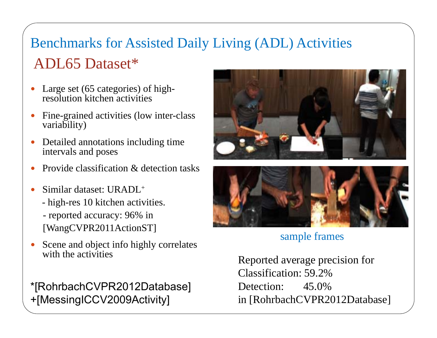#### Benchmarks for Assisted Daily Living (ADL) Activities ADL65 Dataset\*

- $\bullet$  Large set (65 categories) of highresolution kitchen activities
- $\bullet$  Fine-grained activities (low inter-class variability)
- $\bullet$  Detailed annotations including time intervals and poses
- $\bullet$ Provide classification & detection tasks
- $\bullet$  Similar dataset: URADL+
	- high-res 10 kitchen activities.
	- reported accuracy: 96% in [WangCVPR2011ActionST]
- $\bullet$  Scene and object info highly correlates with the activities

\*[RohrbachCVPR2012Database] +[MessingICCV2009Activity]





#### sample frames

Reported average precision for Classification: 59.2% Detection: 45.0% in [RohrbachCVPR2012Database]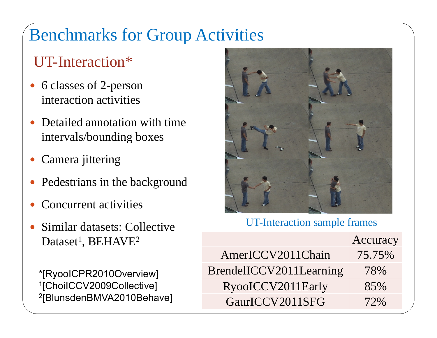## Benchmarks for Group Activities

#### UT-Interaction\*

- 6 classes of 2-person interaction activities
- $\bullet$  Detailed annotation with time intervals/bounding boxes
- 0 Camera jittering
- $\bullet$ Pedestrians in the background
- 0 Concurrent activities
- 0 Similar datasets: Collective Dataset<sup>1</sup>, BEHAVE<sup>2</sup>

\*[RyooICPR2010Overview] 1[ChoiICCV2009Collective] 2[BlunsdenBMVA2010Behave]



#### UT-Interaction sample frames

|                         | Accuracy |
|-------------------------|----------|
| AmerICCV2011Chain       | 75.75%   |
| BrendelICCV2011Learning | 78%      |
| RyooICCV2011Early       | 85%      |
| GaurICCV2011SFG         | 72%      |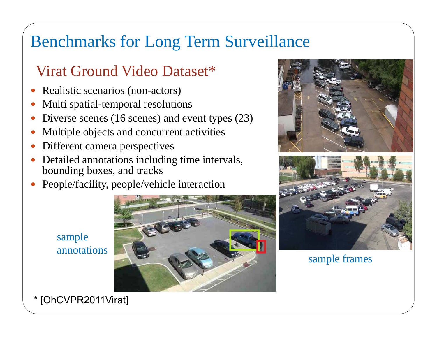#### Benchmarks for Long Term Surveillance

#### Virat Ground Video Dataset\*

- $\bullet$ Realistic scenarios (non-actors)
- $\bullet$ Multi spatial-temporal resolutions
- 0 Diverse scenes (16 scenes) and event types (23)
- 0 Multiple objects and concurrent activities
- 0 Different camera perspectives
- 0 Detailed annotations including time intervals, bounding boxes, and tracks
- 0 People/facility, people/vehicle interaction



sample annotations

\* [OhCVPR2011Virat]



sample frames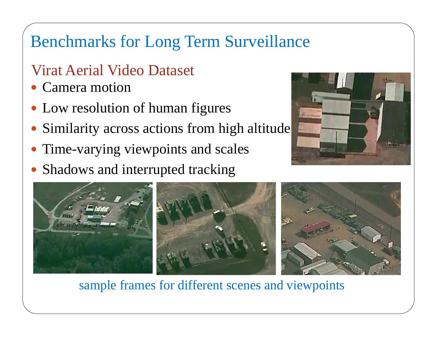#### Benchmarks for Long Term Surveillance

#### Virat Aerial Video Dataset

- 0 Camera motion
- 0 Low resolution of human figures
- 0 Similarity across actions from high altitude
- $\bullet$ Time-varying viewpoints and scales
- 0 Shadows and interrupted tracking





sample frames for different scenes and viewpoints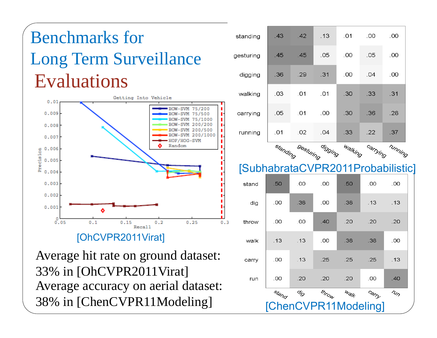# Evaluations Benchmarks forLong Term Surveillance



#### [OhCVPR2011Virat]

Average accuracy on aerial dataset: 38% in [ChenCVPR11Modeling] Average hit rate on ground dataset: 33% in [OhCVPR2011Virat]

| standing  | .43 | .42 | .13 | .01 | .00 | .00 |
|-----------|-----|-----|-----|-----|-----|-----|
| gesturing | .45 | .45 | .05 | .00 | .05 | .00 |
| digging   | .36 | .29 | .31 | .00 | .04 | .00 |
| walking   | .03 | .01 | .01 | .30 | .33 | .31 |
| carrying  | .05 | .01 | .00 | .30 | .36 | .28 |
| running   | .01 | .02 | .04 | .33 | .22 | .37 |



#### [SubhabrataCVPR2011Probabilistic]

| ь.    |                      |                         |       |                       |       |                                      |  |  |  |
|-------|----------------------|-------------------------|-------|-----------------------|-------|--------------------------------------|--|--|--|
| stand | .50                  | .00                     | .00   | .50                   | .00   | .00                                  |  |  |  |
| dig   | .00                  | .38                     | .00   | .38                   | .13   | .13                                  |  |  |  |
| throw | .00                  | .00                     | .40   | .20                   | .20   | .20                                  |  |  |  |
| walk  | .13                  | .13                     | .00   | .38                   | .38   | .00                                  |  |  |  |
| carry | .00                  | .13                     | .25   | .25                   | .25   | .13                                  |  |  |  |
| run   | .00                  | .20                     | .20   | .20                   | .00   | .40                                  |  |  |  |
|       | Stand                | $\phi_{\!\hat{\cal O}}$ | throw | $w_{\partial/\!\!/f}$ | Carry | $\tau_{\nu_{\scriptscriptstyle\!O}}$ |  |  |  |
|       | [ChenCVPR11Modeling] |                         |       |                       |       |                                      |  |  |  |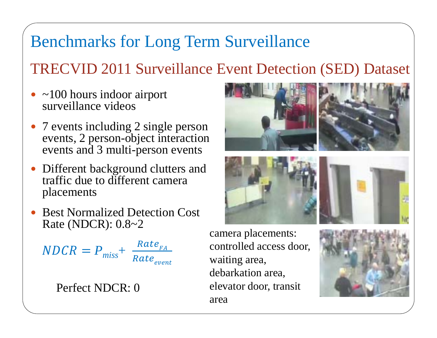#### Benchmarks for Long Term Surveillance

#### TRECVID 2011 Surveillance Event Detection (SED) Dataset

- 0 ~100 hours indoor airport surveillance videos
- $\bullet$ • 7 events including 2 single person events, 2 person-object interaction events and 3 multi-person events
- 0 Different background clutters and traffic due to different camera placements
- $\bullet$  Best Normalized Detection Cost Rate (NDCR):  $0.8~2$  camera placements:

$$
NDCR = P_{miss} + \frac{Rate_{FA}}{Rate_{event}}
$$

Perfect NDCR: 0



controlled access door, waiting area, debarkation area, elevator door, transit area

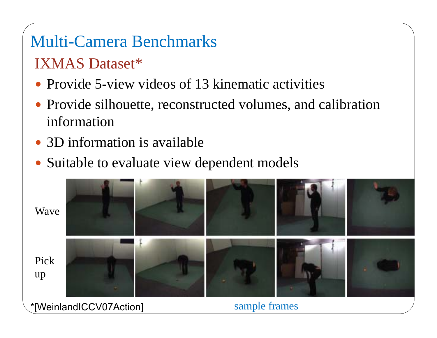# Multi-Camera Benchmarks

#### IXMAS Dataset\*

- Provide 5-view videos of 13 kinematic activities
- Provide silhouette, reconstructed volumes, and calibration information
- 3D information is available
- Suitable to evaluate view dependent models



\*[WeinlandICCV07Action]

sample frames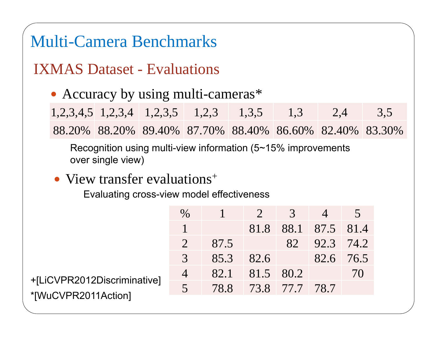#### Multi-Camera Benchmarks

#### IXMAS Dataset - Evaluations

• Accuracy by using multi-cameras\*

|  |  | $1,2,3,4,5$ $1,2,3,4$ $1,2,3,5$ $1,2,3$ $1,3,5$ $1,3$ $2,4$ $3,5$ |  |
|--|--|-------------------------------------------------------------------|--|
|  |  | 88.20% 88.20% 89.40% 87.70% 88.40% 86.60% 82.40% 83.30%           |  |

Recognition using multi-view information (5~15% improvements over single view)

#### • View transfer evaluations<sup>+</sup>

Evaluating cross-view model effectiveness

|                                                    | $\%$           |      | (2)                      |    |                |    |
|----------------------------------------------------|----------------|------|--------------------------|----|----------------|----|
|                                                    |                |      | 81.8                     |    | 88.1 87.5 81.4 |    |
|                                                    |                | 87.5 |                          | 82 | 92.3 74.2      |    |
|                                                    | 3              | 85.3 | 82.6                     |    | $82.6$ 76.5    |    |
|                                                    | $\overline{4}$ |      | $82.1$   $81.5$   $80.2$ |    |                | 70 |
| +[LiCVPR2012Discriminative]<br>*[WuCVPR2011Action] | $\sqrt{5}$     |      | 78.8 73.8 77.7 78.7      |    |                |    |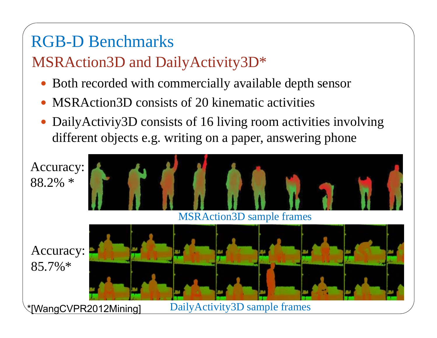## RGB-D Benchmarks

#### MSRAction3D and DailyActivity3D\*

- Both recorded with commercially available depth sensor
- MSRAction3D consists of 20 kinematic activities
- DailyActiviy3D consists of 16 living room activities involving different objects e.g. writing on a paper, answering phone

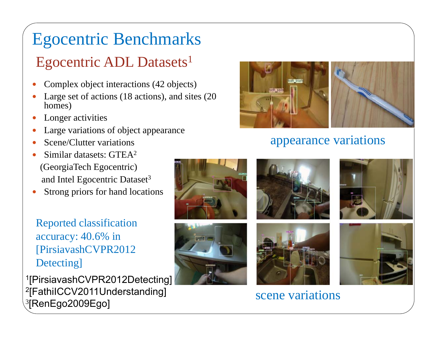# Egocentric Benchmarks

#### Egocentric ADL Datasets 1

- 0 Complex object interactions (42 objects)
- $\bullet$  Large set of actions (18 actions), and sites (20 homes)
- $\bullet$ Longer activities
- $\bullet$ Large variations of object appearance
- $\bullet$ Scene/Clutter variations
- $\bullet$ • Similar datasets:  $GTEA<sup>2</sup>$ (GeorgiaTech Egocentric) and Intel Egocentric Dataset<sup>3</sup>
- $\bullet$ Strong priors for hand locations

Reported classification accuracy: 40.6% in [PirsiavashCVPR2012 Detecting]

1[PirsiavashCVPR2012Detecting] 2[FathiICCV2011Understanding] erathic vertices of the scene variations<br>
denoted by the scene variations<br>
scene variations
3<br>
Sene variations
of the scene variations
of the scene variations
of the scene variations
of the scene variations
of the scene va



#### appearance variations









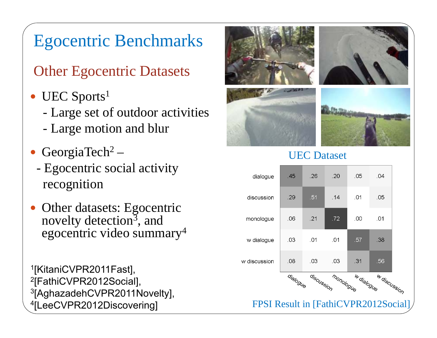## Egocentric Benchmarks

Other Egocentric Datasets

- UEC Sports<sup>1</sup>
	- Large set of outdoor activities
	- -Large motion and blur
- GeorgiaTech<sup>2</sup>
	- Egocentric social activity recognition
- $\bullet$  Other datasets: Egocentric novelty detection<sup>3</sup>, and egocentric video summary4

1[KitaniCVPR2011Fast], 2[FathiCVPR2012Social], 3[AghazadehCVPR2011Novelty], 4[LeeCVPR2012Discovering]



#### UEC Dataset

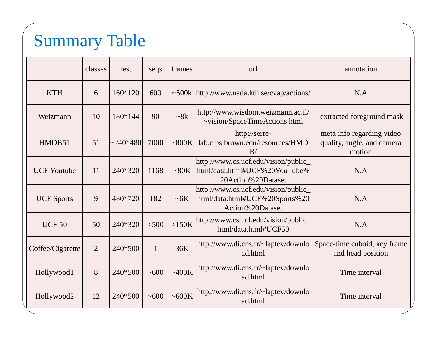# Summary Table

|                    | classes        | res.       | seqs         | frames     | url                                                                                         | annotation                                                        |
|--------------------|----------------|------------|--------------|------------|---------------------------------------------------------------------------------------------|-------------------------------------------------------------------|
| <b>KTH</b>         | 6              | 160*120    | 600          |            | ~500k http://www.nada.kth.se/cvap/actions/                                                  | N.A                                                               |
| Weizmann           | 10             | 180*144    | 90           | $\sim 8k$  | http://www.wisdom.weizmann.ac.il/<br>~vision/SpaceTimeActions.html                          | extracted foreground mask                                         |
| HMDB51             | 51             | $~240*480$ | 7000         | ~100K      | http://serre-<br>lab.clps.brown.edu/resources/HMD<br>B/                                     | meta info regarding video<br>quality, angle, and camera<br>motion |
| <b>UCF Youtube</b> | 11             | 240*320    | 1168         | ~280K      | http://www.cs.ucf.edu/vision/public_<br>html/data.html#UCF%20YouTube%<br>20Action%20Dataset | N.A                                                               |
| <b>UCF Sports</b>  | 9              | 480*720    | 182          | $~\sim$ 6K | http://www.cs.ucf.edu/vision/public_<br>html/data.html#UCF%20Sports%20<br>Action%20Dataset  | N.A                                                               |
| <b>UCF 50</b>      | 50             | 240*320    | $>500$       | $>150K$    | http://www.cs.ucf.edu/vision/public_<br>html/data.html#UCF50                                | N.A                                                               |
| Coffee/Cigarette   | $\overline{2}$ | 240*500    | $\mathbf{1}$ | 36K        | http://www.di.ens.fr/~laptev/downlo<br>ad.html                                              | Space-time cuboid, key frame<br>and head position                 |
| Hollywood1         | 8              | 240*500    | ~100         | ~100K      | http://www.di.ens.fr/~laptev/downlo<br>ad.html                                              | Time interval                                                     |
| Hollywood2         | 12             | 240*500    | ~100         | ~500K      | http://www.di.ens.fr/~laptev/downlo<br>ad.html                                              | Time interval                                                     |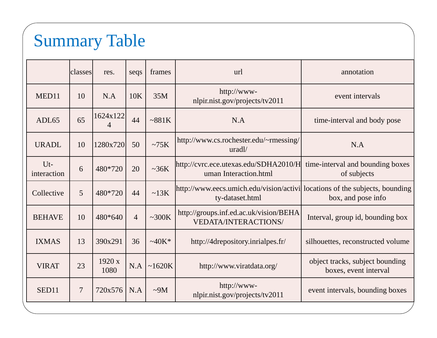# Summary Table

|                       | classes        | res.                       | seqs           | frames      | url                                                                                            | annotation                                               |
|-----------------------|----------------|----------------------------|----------------|-------------|------------------------------------------------------------------------------------------------|----------------------------------------------------------|
| MED11                 | 10             | N.A                        | 10K            | 35M         | http://www-<br>nlpir.nist.gov/projects/tv2011                                                  | event intervals                                          |
| ADL <sub>65</sub>     | 65             | 1624x122<br>$\overline{4}$ | 44             | ~2881K      | N.A                                                                                            | time-interval and body pose                              |
| <b>URADL</b>          | 10             | 1280x720                   | 50             | $\sim$ 75K  | http://www.cs.rochester.edu/~rmessing/<br>uradl/                                               | N.A                                                      |
| $Ut$ -<br>interaction | 6              | 480*720                    | 20             | $\sim 36K$  | http://cvrc.ece.utexas.edu/SDHA2010/H<br>uman Interaction.html                                 | time-interval and bounding boxes<br>of subjects          |
| Collective            | 5              | 480*720                    | 44             | ~13K        | http://www.eecs.umich.edu/vision/activi locations of the subjects, bounding<br>ty-dataset.html | box, and pose info                                       |
| <b>BEHAVE</b>         | 10             | 480*640                    | $\overline{4}$ | $\sim 300K$ | http://groups.inf.ed.ac.uk/vision/BEHA<br><b>VEDATA/INTERACTIONS/</b>                          | Interval, group id, bounding box                         |
| <b>IXMAS</b>          | 13             | 390x291                    | 36             | $-40K*$     | http://4drepository.inrialpes.fr/                                                              | silhouettes, reconstructed volume                        |
| <b>VIRAT</b>          | 23             | 1920 x<br>1080             | N.A            | ~1620K      | http://www.viratdata.org/                                                                      | object tracks, subject bounding<br>boxes, event interval |
| SED <sub>11</sub>     | $\overline{7}$ | 720x576                    | N.A            | $\sim$ 9M   | http://www-<br>nlpir.nist.gov/projects/tv2011                                                  | event intervals, bounding boxes                          |
|                       |                |                            |                |             |                                                                                                |                                                          |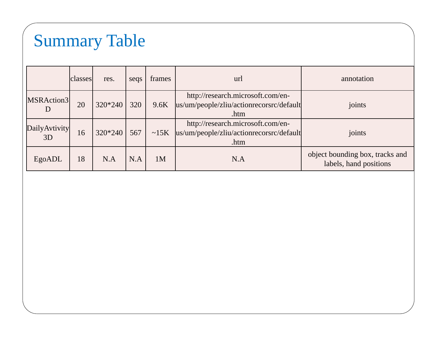# Summary Table

|                            | classes | res.    | seqs | frames     | url                                                                                   | annotation                                                |
|----------------------------|---------|---------|------|------------|---------------------------------------------------------------------------------------|-----------------------------------------------------------|
| MSRAction3<br>D            | 20      | 320*240 | 320  | 9.6K       | http://research.microsoft.com/en-<br>us/um/people/zliu/actionrecorsrc/default<br>.htm | joints                                                    |
| <b>DailyAvtivity</b><br>3D | 16      | 320*240 | 567  | $\sim$ 15K | http://research.microsoft.com/en-<br>us/um/people/zliu/actionrecorsrc/default<br>.htm | joints                                                    |
| EgoADL                     | 18      | N.A     | N.A  | 1M         | N.A                                                                                   | object bounding box, tracks and<br>labels, hand positions |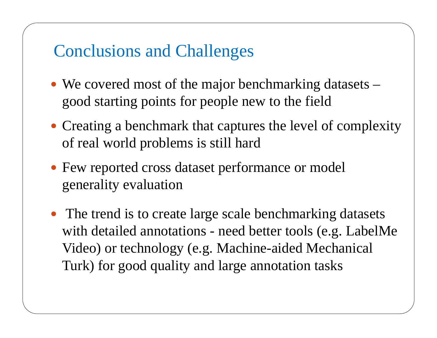#### Conclusions and Challenges

- We covered most of the major benchmarking datasets good starting points for people new to the field
- Creating a benchmark that captures the level of complexity of real world problems is still hard
- Few reported cross dataset performance or model generality evaluation
- The trend is to create large scale benchmarking datasets with detailed annotations - need better tools (e.g. LabelMe Video) or technology (e.g. Machine-aided Mechanical Turk) for good quality and large annotation tasks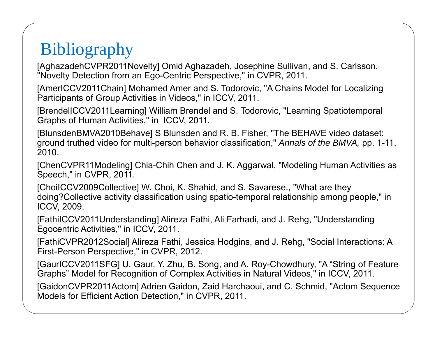# **Bibliography**

[AghazadehCVPR2011Novelty] Omid Aghazadeh, Josephine Sullivan, and S. Carlsson, "Novelty Detection from an Ego-Centric Perspective," in CVPR, 2011.

[AmerICCV2011Chain] Mohamed Amer and S. Todorovic, "A Chains Model for Localizing Participants of Group Activities in Videos," in ICCV, 2011.

[BrendelICCV2011Learning] William Brendel and S. Todorovic, "Learning Spatiotemporal Graphs of Human Activities," in ICCV, 2011.

[BlunsdenBMVA2010Behave] S Blunsden and R. B. Fisher, "The BEHAVE video dataset: ground truthed video for multi-person behavior classification," *Annals of the BMVA,* pp. 1-11, 2010.

[ChenCVPR11Modeling] Chia-Chih Chen and J. K. Aggarwal, "Modeling Human Activities as Speech," in CVPR, 2011.

[ChoiICCV2009Collective] W. Choi, K. Shahid, and S. Savarese., "What are they doing?Collective activity classification using spatio-temporal relationship among people," in ICCV, 2009.

[FathiICCV2011Understanding] Alireza Fathi, Ali Farhadi, and J. Rehg, "Understanding Egocentric Activities," in ICCV, 2011.

[FathiCVPR2012Social] Alireza Fathi, Jessica Hodgins, and J. Rehg, "Social Interactions: A First-Person Perspective," in CVPR, 2012.

[GaurICCV2011SFG] U. Gaur, Y. Zhu, B. Song, and A. Roy-Chowdhury, "A "String of Feature Graphs" Model for Recognition of Complex Activities in Natural Videos," in ICCV, 2011.

[GaidonCVPR2011Actom] Adrien Gaidon, Zaid Harchaoui, and C. Schmid, "Actom Sequence Models for Efficient Action Detection," in CVPR, 2011.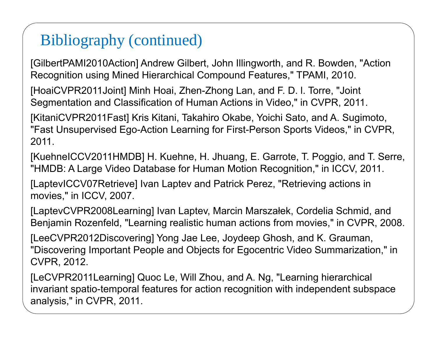[GilbertPAMI2010Action] Andrew Gilbert, John Illingworth, and R. Bowden, "Action Recognition using Mined Hierarchical Compound Features," TPAMI, 2010.

[HoaiCVPR2011Joint] Minh Hoai, Zhen-Zhong Lan, and F. D. l. Torre, "Joint Segmentation and Classification of Human Actions in Video," in CVPR, 2011.

[KitaniCVPR2011Fast] Kris Kitani, Takahiro Okabe, Yoichi Sato, and A. Sugimoto, "Fast Unsupervised Ego-Action Learning for First-Person Sports Videos," in CVPR, 2011.

[KuehneICCV2011HMDB] H. Kuehne, H. Jhuang, E. Garrote, T. Poggio, and T. Serre, "HMDB: A Large Video Database for Human Motion Recognition," in ICCV, 2011.

[LaptevICCV07Retrieve] Ivan Laptev and Patrick Perez, "Retrieving actions in movies," in ICCV, 2007.

[LaptevCVPR2008Learning] Ivan Laptev, Marcin Marszałek, Cordelia Schmid, and Benjamin Rozenfeld, "Learning realistic human actions from movies," in CVPR, 2008.

[LeeCVPR2012Discovering] Yong Jae Lee, Joydeep Ghosh, and K. Grauman, "Discovering Important People and Objects for Egocentric Video Summarization," in CVPR, 2012.

[LeCVPR2011Learning] Quoc Le, Will Zhou, and A. Ng, "Learning hierarchical invariant spatio-temporal features for action recognition with independent subspace analysis," in CVPR, 2011.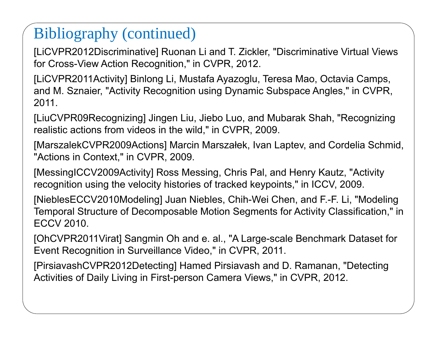[LiCVPR2012Discriminative] Ruonan Li and T. Zickler, "Discriminative Virtual Views for Cross-View Action Recognition," in CVPR, 2012.

[LiCVPR2011Activity] Binlong Li, Mustafa Ayazoglu, Teresa Mao, Octavia Camps, and M. Sznaier, "Activity Recognition using Dynamic Subspace Angles," in CVPR, 2011.

[LiuCVPR09Recognizing] Jingen Liu, Jiebo Luo, and Mubarak Shah, "Recognizing realistic actions from videos in the wild," in CVPR, 2009.

[MarszalekCVPR2009Actions] Marcin Marszałek, Ivan Laptev, and Cordelia Schmid, "Actions in Context," in CVPR, 2009.

[MessingICCV2009Activity] Ross Messing, Chris Pal, and Henry Kautz, "Activity recognition using the velocity histories of tracked keypoints," in ICCV, 2009.

[NieblesECCV2010Modeling] Juan Niebles, Chih-Wei Chen, and F.-F. Li, "Modeling Temporal Structure of Decomposable Motion Segments for Activity Classification," in ECCV 2010.

[OhCVPR2011Virat] Sangmin Oh and e. al., "A Large-scale Benchmark Dataset for Event Recognition in Surveillance Video," in CVPR, 2011.

[PirsiavashCVPR2012Detecting] Hamed Pirsiavash and D. Ramanan, "Detecting Activities of Daily Living in First-person Camera Views," in CVPR, 2012.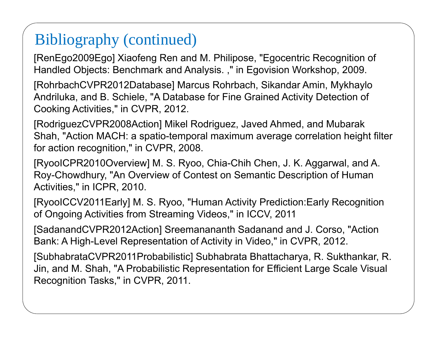[RenEgo2009Ego] Xiaofeng Ren and M. Philipose, "Egocentric Recognition of Handled Objects: Benchmark and Analysis. ," in Egovision Workshop, 2009.

[RohrbachCVPR2012Database] Marcus Rohrbach, Sikandar Amin, Mykhaylo Andriluka, and B. Schiele, "A Database for Fine Grained Activity Detection of Cooking Activities," in CVPR, 2012.

[RodriguezCVPR2008Action] Mikel Rodriguez, Javed Ahmed, and Mubarak Shah, "Action MACH: a spatio-temporal maximum average correlation height filter for action recognition," in CVPR, 2008.

[RyooICPR2010Overview] M. S. Ryoo, Chia-Chih Chen, J. K. Aggarwal, and A. Roy-Chowdhury, "An Overview of Contest on Semantic Description of Human Activities," in ICPR, 2010.

[RyooICCV2011Early] M. S. Ryoo, "Human Activity Prediction:Early Recognition of Ongoing Activities from Streaming Videos," in ICCV, 2011

[SadanandCVPR2012Action] Sreemanananth Sadanand and J. Corso, "Action Bank: A High-Level Representation of Activity in Video," in CVPR, 2012.

[SubhabrataCVPR2011Probabilistic] Subhabrata Bhattacharya, R. Sukthankar, R. Jin, and M. Shah, "A Probabilistic Representation for Efficient Large Scale Visual Recognition Tasks," in CVPR, 2011.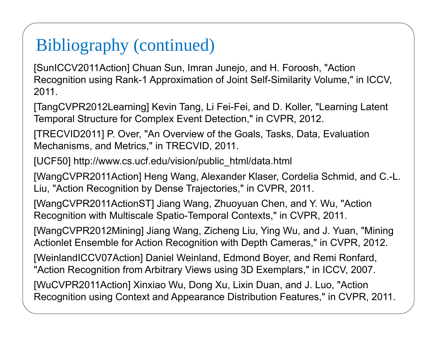[SunICCV2011Action] Chuan Sun, Imran Junejo, and H. Foroosh, "Action Recognition using Rank-1 Approximation of Joint Self-Similarity Volume," in ICCV, 2011.

[TangCVPR2012Learning] Kevin Tang, Li Fei-Fei, and D. Koller, "Learning Latent Temporal Structure for Complex Event Detection," in CVPR, 2012.

[TRECVID2011] P. Over, "An Overview of the Goals, Tasks, Data, Evaluation Mechanisms, and Metrics," in TRECVID, 2011.

[UCF50] http://www.cs.ucf.edu/vision/public\_html/data.html

[WangCVPR2011Action] Heng Wang, Alexander Klaser, Cordelia Schmid, and C.-L. Liu, "Action Recognition by Dense Trajectories," in CVPR, 2011.

[WangCVPR2011ActionST] Jiang Wang, Zhuoyuan Chen, and Y. Wu, "Action Recognition with Multiscale Spatio-Temporal Contexts," in CVPR, 2011.

[WangCVPR2012Mining] Jiang Wang, Zicheng Liu, Ying Wu, and J. Yuan, "Mining Actionlet Ensemble for Action Recognition with Depth Cameras," in CVPR, 2012.

[WeinlandICCV07Action] Daniel Weinland, Edmond Boyer, and Remi Ronfard, "Action Recognition from Arbitrary Views using 3D Exemplars," in ICCV, 2007.

[WuCVPR2011Action] Xinxiao Wu, Dong Xu, Lixin Duan, and J. Luo, "Action Recognition using Context and Appearance Distribution Features," in CVPR, 2011.